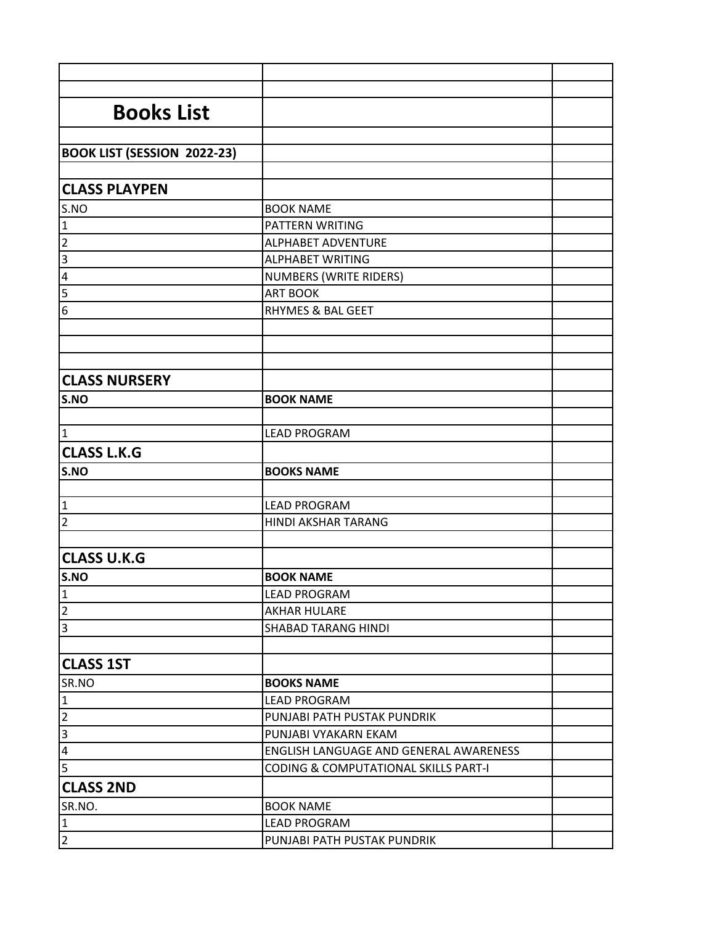| <b>Books List</b>                  |                                                 |  |
|------------------------------------|-------------------------------------------------|--|
|                                    |                                                 |  |
| <b>BOOK LIST (SESSION 2022-23)</b> |                                                 |  |
|                                    |                                                 |  |
| <b>CLASS PLAYPEN</b>               |                                                 |  |
| S.NO                               | <b>BOOK NAME</b>                                |  |
| $\mathbf 1$                        | PATTERN WRITING                                 |  |
| $\overline{2}$                     | <b>ALPHABET ADVENTURE</b>                       |  |
| $\overline{\mathbf{3}}$            | <b>ALPHABET WRITING</b>                         |  |
| $\overline{a}$                     | NUMBERS (WRITE RIDERS)                          |  |
| $\overline{5}$                     | <b>ART BOOK</b>                                 |  |
| $\overline{6}$                     | <b>RHYMES &amp; BAL GEET</b>                    |  |
|                                    |                                                 |  |
|                                    |                                                 |  |
|                                    |                                                 |  |
| <b>CLASS NURSERY</b>               |                                                 |  |
| S.NO                               | <b>BOOK NAME</b>                                |  |
|                                    |                                                 |  |
| $\mathbf{1}$                       | <b>LEAD PROGRAM</b>                             |  |
| <b>CLASS L.K.G</b>                 |                                                 |  |
| S.NO                               | <b>BOOKS NAME</b>                               |  |
|                                    |                                                 |  |
| 1                                  | <b>LEAD PROGRAM</b>                             |  |
| $\overline{2}$                     | HINDI AKSHAR TARANG                             |  |
|                                    |                                                 |  |
| <b>CLASS U.K.G</b>                 |                                                 |  |
| S.NO                               | <b>BOOK NAME</b>                                |  |
| 1                                  | <b>LEAD PROGRAM</b>                             |  |
| $\overline{2}$                     | <b>AKHAR HULARE</b>                             |  |
| $\overline{3}$                     | <b>SHABAD TARANG HINDI</b>                      |  |
|                                    |                                                 |  |
| <b>CLASS 1ST</b>                   |                                                 |  |
| SR.NO                              | <b>BOOKS NAME</b>                               |  |
| 1                                  | <b>LEAD PROGRAM</b>                             |  |
| $\overline{2}$                     | PUNJABI PATH PUSTAK PUNDRIK                     |  |
| $\overline{3}$                     | PUNJABI VYAKARN EKAM                            |  |
| $\overline{\mathbf{r}}$            | ENGLISH LANGUAGE AND GENERAL AWARENESS          |  |
| $\overline{5}$                     | <b>CODING &amp; COMPUTATIONAL SKILLS PART-I</b> |  |
| <b>CLASS 2ND</b>                   |                                                 |  |
| SR.NO.                             | <b>BOOK NAME</b>                                |  |
| 1                                  | <b>LEAD PROGRAM</b>                             |  |
| $\overline{2}$                     | PUNJABI PATH PUSTAK PUNDRIK                     |  |
|                                    |                                                 |  |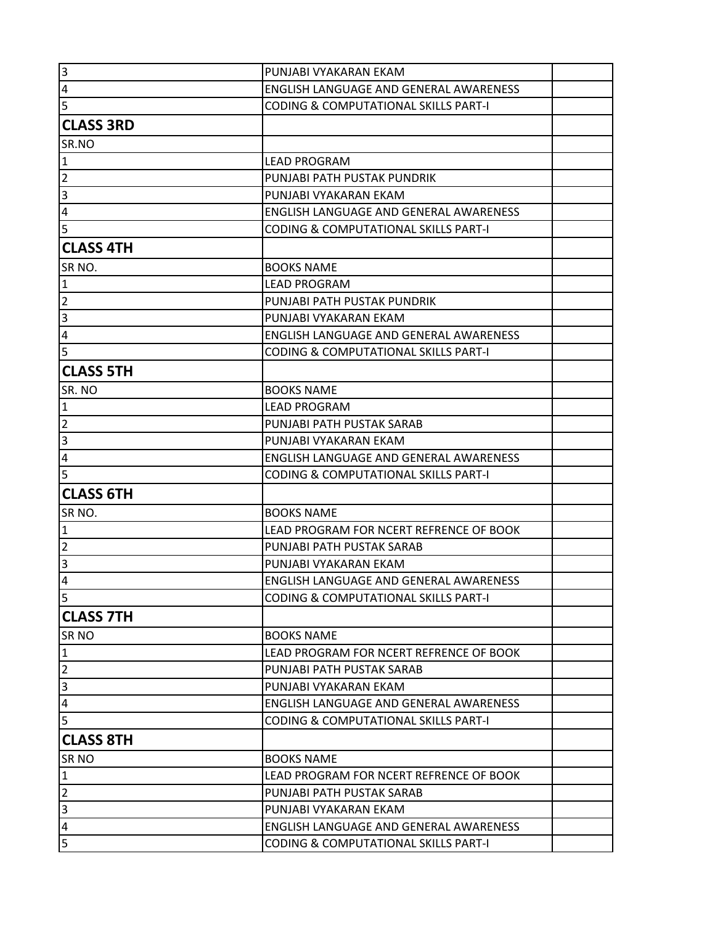| $\overline{3}$          | PUNJABI VYAKARAN EKAM                           |  |
|-------------------------|-------------------------------------------------|--|
| $\overline{a}$          | ENGLISH LANGUAGE AND GENERAL AWARENESS          |  |
| $\overline{5}$          | <b>CODING &amp; COMPUTATIONAL SKILLS PART-I</b> |  |
| <b>CLASS 3RD</b>        |                                                 |  |
| SR.NO                   |                                                 |  |
| $\mathbf{1}$            | <b>LEAD PROGRAM</b>                             |  |
| $\overline{2}$          | PUNJABI PATH PUSTAK PUNDRIK                     |  |
| $\overline{\mathbf{3}}$ | PUNJABI VYAKARAN EKAM                           |  |
| $\pmb{4}$               | ENGLISH LANGUAGE AND GENERAL AWARENESS          |  |
| $\overline{5}$          | <b>CODING &amp; COMPUTATIONAL SKILLS PART-I</b> |  |
| <b>CLASS 4TH</b>        |                                                 |  |
| SR <sub>NO</sub> .      | <b>BOOKS NAME</b>                               |  |
| $\mathbf{1}$            | <b>LEAD PROGRAM</b>                             |  |
| $\overline{2}$          | PUNJABI PATH PUSTAK PUNDRIK                     |  |
| $\overline{\mathbf{3}}$ | PUNJABI VYAKARAN EKAM                           |  |
| $\overline{4}$          | ENGLISH LANGUAGE AND GENERAL AWARENESS          |  |
| 5                       | <b>CODING &amp; COMPUTATIONAL SKILLS PART-I</b> |  |
| <b>CLASS 5TH</b>        |                                                 |  |
| SR. NO                  | <b>BOOKS NAME</b>                               |  |
| $\overline{1}$          | <b>LEAD PROGRAM</b>                             |  |
| $\overline{2}$          | PUNJABI PATH PUSTAK SARAB                       |  |
| $\vert$ 3               | PUNJABI VYAKARAN EKAM                           |  |
| $\overline{4}$          | ENGLISH LANGUAGE AND GENERAL AWARENESS          |  |
| 5                       | <b>CODING &amp; COMPUTATIONAL SKILLS PART-I</b> |  |
| <b>CLASS 6TH</b>        |                                                 |  |
| SR NO.                  | <b>BOOKS NAME</b>                               |  |
| $\overline{1}$          | LEAD PROGRAM FOR NCERT REFRENCE OF BOOK         |  |
| $\overline{2}$          | PUNJABI PATH PUSTAK SARAB                       |  |
| $\overline{3}$          | PUNJABI VYAKARAN EKAM                           |  |
| 4                       | ENGLISH LANGUAGE AND GENERAL AWARENESS          |  |
| 5                       | <b>CODING &amp; COMPUTATIONAL SKILLS PART-I</b> |  |
| <b>CLASS 7TH</b>        |                                                 |  |
| <b>SRNO</b>             | <b>BOOKS NAME</b>                               |  |
| $\mathbf 1$             | LEAD PROGRAM FOR NCERT REFRENCE OF BOOK         |  |
| $\overline{2}$          | PUNJABI PATH PUSTAK SARAB                       |  |
| $\overline{3}$          | PUNJABI VYAKARAN EKAM                           |  |
| $\overline{a}$          | ENGLISH LANGUAGE AND GENERAL AWARENESS          |  |
| $\overline{5}$          | <b>CODING &amp; COMPUTATIONAL SKILLS PART-I</b> |  |
| <b>CLASS 8TH</b>        |                                                 |  |
| SR <sub>NO</sub>        | <b>BOOKS NAME</b>                               |  |
| $\mathbf{1}$            | LEAD PROGRAM FOR NCERT REFRENCE OF BOOK         |  |
| $\mathbf 2$             | PUNJABI PATH PUSTAK SARAB                       |  |
| $\overline{3}$          | PUNJABI VYAKARAN EKAM                           |  |
| $\overline{a}$          | ENGLISH LANGUAGE AND GENERAL AWARENESS          |  |
| 5                       |                                                 |  |
|                         | <b>CODING &amp; COMPUTATIONAL SKILLS PART-I</b> |  |